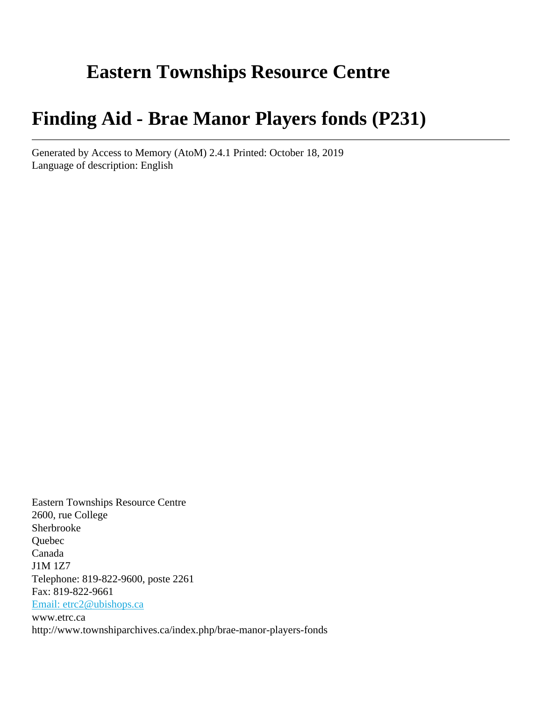# **Eastern Townships Resource Centre**

# **Finding Aid - Brae Manor Players fonds (P231)**

Generated by Access to Memory (AtoM) 2.4.1 Printed: October 18, 2019 Language of description: English

Eastern Townships Resource Centre 2600, rue College Sherbrooke Quebec Canada J1M 1Z7 Telephone: 819-822-9600, poste 2261 Fax: 819-822-9661 [Email: etrc2@ubishops.ca](mailto:Email: etrc2@ubishops.ca) www.etrc.ca http://www.townshiparchives.ca/index.php/brae-manor-players-fonds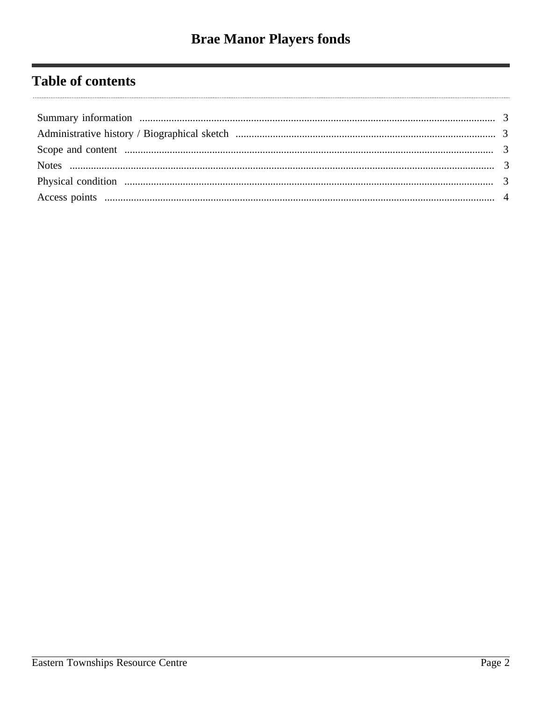# **Table of contents**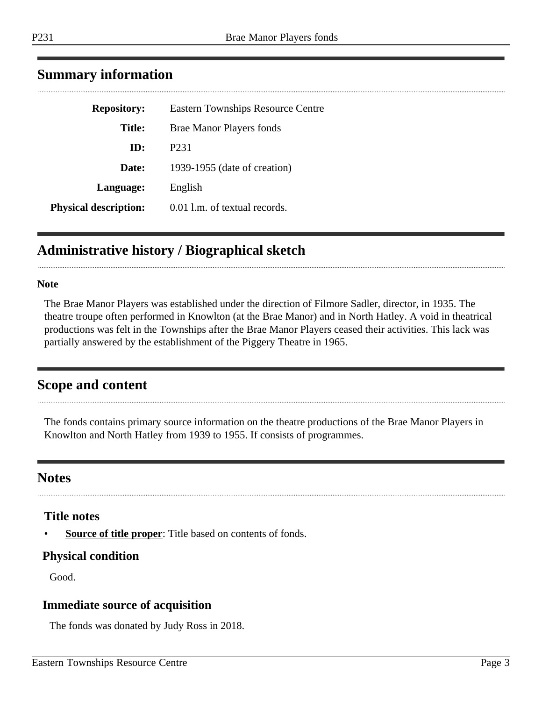| ı<br>۰. |  |  |
|---------|--|--|
|         |  |  |
|         |  |  |

| <b>Repository:</b>           | <b>Eastern Townships Resource Centre</b> |
|------------------------------|------------------------------------------|
| <b>Title:</b>                | <b>Brae Manor Players fonds</b>          |
| ID:                          | P <sub>2</sub> 31                        |
| Date:                        | 1939-1955 (date of creation)             |
| Language:                    | English                                  |
| <b>Physical description:</b> | 0.01 l.m. of textual records.            |

## <span id="page-2-0"></span>**Summary information**

## <span id="page-2-1"></span>**Administrative history / Biographical sketch**

#### **Note**

The Brae Manor Players was established under the direction of Filmore Sadler, director, in 1935. The theatre troupe often performed in Knowlton (at the Brae Manor) and in North Hatley. A void in theatrical productions was felt in the Townships after the Brae Manor Players ceased their activities. This lack was partially answered by the establishment of the Piggery Theatre in 1965.

### <span id="page-2-2"></span>**Scope and content**

The fonds contains primary source information on the theatre productions of the Brae Manor Players in Knowlton and North Hatley from 1939 to 1955. If consists of programmes.

### <span id="page-2-3"></span>**Notes**

#### **Title notes**

**<u>Source of title proper</u>**: Title based on contents of fonds.

#### <span id="page-2-4"></span>**Physical condition**

Good.

#### **Immediate source of acquisition**

The fonds was donated by Judy Ross in 2018.